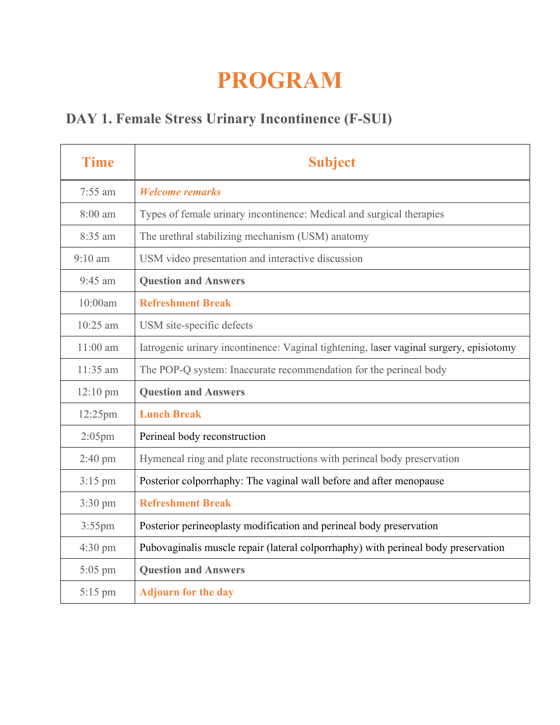## **PROGRAM**

## **DAY 1. Female Stress Urinary Incontinence (F-SUI)**

| <b>Time</b>        | <b>Subject</b>                                                                         |
|--------------------|----------------------------------------------------------------------------------------|
| $7:55$ am          | <b>Welcome remarks</b>                                                                 |
| 8:00 am            | Types of female urinary incontinence: Medical and surgical therapies                   |
| 8:35 am            | The urethral stabilizing mechanism (USM) anatomy                                       |
| $9:10$ am          | USM video presentation and interactive discussion                                      |
| $9:45$ am          | <b>Question and Answers</b>                                                            |
| 10:00am            | <b>Refreshment Break</b>                                                               |
| $10:25$ am         | USM site-specific defects                                                              |
| $11:00$ am         | Iatrogenic urinary incontinence: Vaginal tightening, laser vaginal surgery, episiotomy |
| 11:35 am           | The POP-Q system: Inaccurate recommendation for the perineal body                      |
| $12:10 \text{ pm}$ | <b>Question and Answers</b>                                                            |
| 12:25pm            | <b>Lunch Break</b>                                                                     |
| $2:05$ pm          | Perineal body reconstruction                                                           |
| $2:40 \text{ pm}$  | Hymeneal ring and plate reconstructions with perineal body preservation                |
| $3:15$ pm          | Posterior colporrhaphy: The vaginal wall before and after menopause                    |
| 3:30 pm            | <b>Refreshment Break</b>                                                               |
| $3:55$ pm          | Posterior perineoplasty modification and perineal body preservation                    |
| $4:30 \text{ pm}$  | Pubovaginalis muscle repair (lateral colporrhaphy) with perineal body preservation     |
| $5:05$ pm          | <b>Question and Answers</b>                                                            |
| 5:15 pm            | <b>Adjourn for the day</b>                                                             |